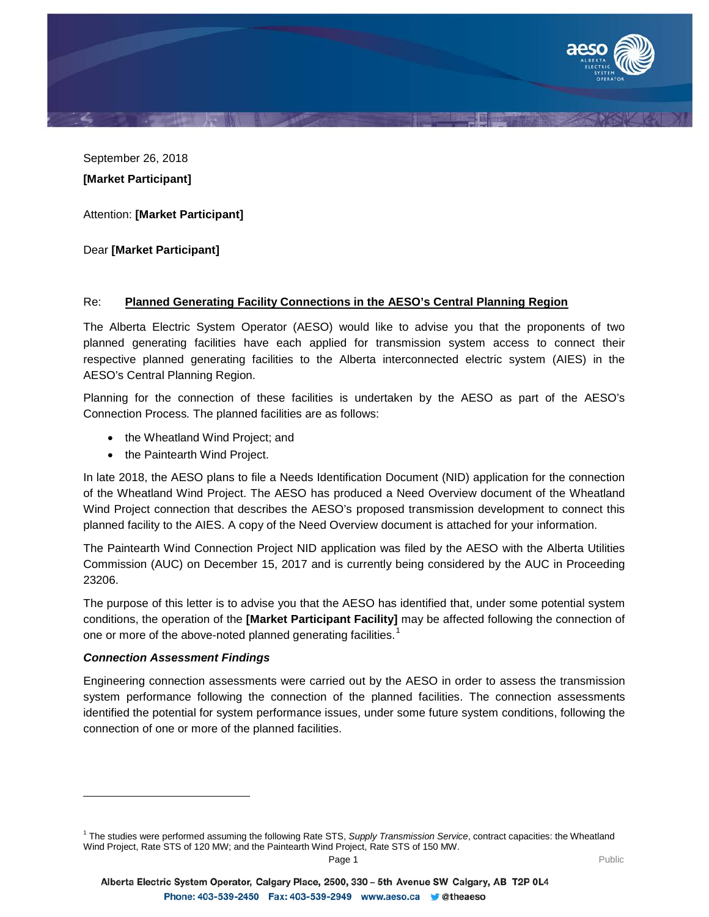

September 26, 2018 **[Market Participant]**

Attention: **[Market Participant]**

Dear **[Market Participant]**

# Re: **Planned Generating Facility Connections in the AESO's Central Planning Region**

The Alberta Electric System Operator (AESO) would like to advise you that the proponents of two planned generating facilities have each applied for transmission system access to connect their respective planned generating facilities to the Alberta interconnected electric system (AIES) in the AESO's Central Planning Region.

Planning for the connection of these facilities is undertaken by the AESO as part of the AESO's Connection Process*.* The planned facilities are as follows:

- the Wheatland Wind Project; and
- the Paintearth Wind Project.

In late 2018, the AESO plans to file a Needs Identification Document (NID) application for the connection of the Wheatland Wind Project. The AESO has produced a Need Overview document of the Wheatland Wind Project connection that describes the AESO's proposed transmission development to connect this planned facility to the AIES. A copy of the Need Overview document is attached for your information.

The Paintearth Wind Connection Project NID application was filed by the AESO with the Alberta Utilities Commission (AUC) on December 15, 2017 and is currently being considered by the AUC in Proceeding 23206.

The purpose of this letter is to advise you that the AESO has identified that, under some potential system conditions, the operation of the **[Market Participant Facility]** may be affected following the connection of one or more of the above-noted planned generating facilities.<sup>[1](#page-0-0)</sup>

## *Connection Assessment Findings*

j

Engineering connection assessments were carried out by the AESO in order to assess the transmission system performance following the connection of the planned facilities. The connection assessments identified the potential for system performance issues, under some future system conditions, following the connection of one or more of the planned facilities.

<span id="page-0-0"></span><sup>1</sup> The studies were performed assuming the following Rate STS, *Supply Transmission Service*, contract capacities: the Wheatland Wind Project, Rate STS of 120 MW; and the Paintearth Wind Project, Rate STS of 150 MW.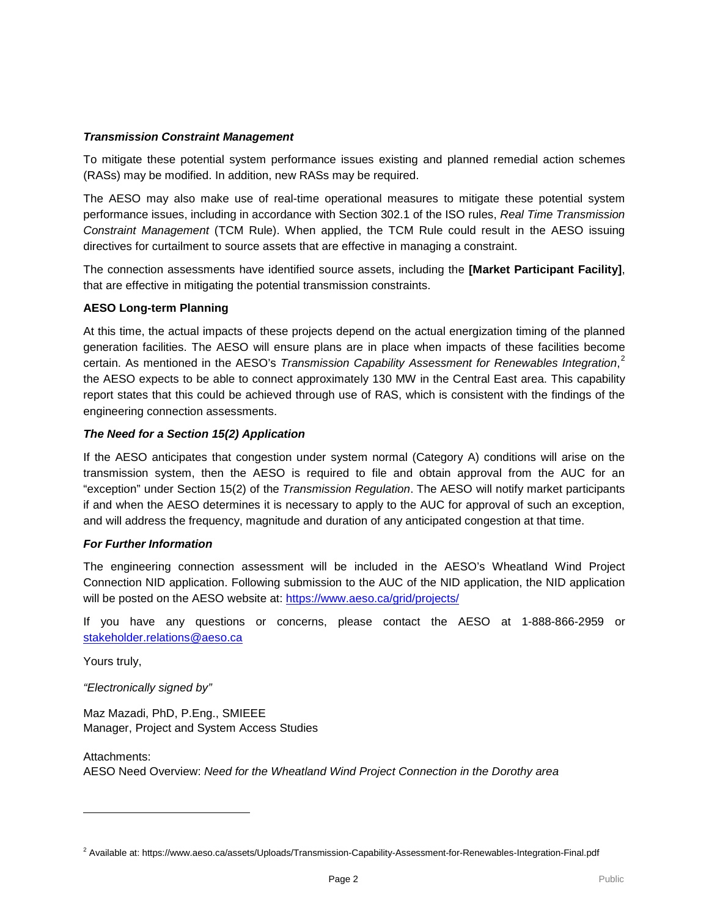## *Transmission Constraint Management*

To mitigate these potential system performance issues existing and planned remedial action schemes (RASs) may be modified. In addition, new RASs may be required.

The AESO may also make use of real-time operational measures to mitigate these potential system performance issues, including in accordance with Section 302.1 of the ISO rules, *Real Time Transmission Constraint Management* (TCM Rule). When applied, the TCM Rule could result in the AESO issuing directives for curtailment to source assets that are effective in managing a constraint.

The connection assessments have identified source assets, including the **[Market Participant Facility]**, that are effective in mitigating the potential transmission constraints.

## **AESO Long-term Planning**

At this time, the actual impacts of these projects depend on the actual energization timing of the planned generation facilities. The AESO will ensure plans are in place when impacts of these facilities become certain. As mentioned in the AESO's *Transmission Capability Assessment for Renewables Integration*, [2](#page-1-0) the AESO expects to be able to connect approximately 130 MW in the Central East area. This capability report states that this could be achieved through use of RAS, which is consistent with the findings of the engineering connection assessments.

## *The Need for a Section 15(2) Application*

If the AESO anticipates that congestion under system normal (Category A) conditions will arise on the transmission system, then the AESO is required to file and obtain approval from the AUC for an "exception" under Section 15(2) of the *Transmission Regulation*. The AESO will notify market participants if and when the AESO determines it is necessary to apply to the AUC for approval of such an exception, and will address the frequency, magnitude and duration of any anticipated congestion at that time.

## *For Further Information*

The engineering connection assessment will be included in the AESO's Wheatland Wind Project Connection NID application. Following submission to the AUC of the NID application, the NID application will be posted on the AESO website at: https://www.aeso.ca/grid/projects/

If you have any questions or concerns, please contact the AESO at 1-888-866-2959 or [stakeholder.relations@aeso.ca](mailto:stakeholder.relations@aeso.ca)

Yours truly,

j

*"Electronically signed by"*

Maz Mazadi, PhD, P.Eng., SMIEEE Manager, Project and System Access Studies

Attachments: AESO Need Overview: *Need for the Wheatland Wind Project Connection in the Dorothy area*

<span id="page-1-0"></span><sup>&</sup>lt;sup>2</sup> Available at: https://www.aeso.ca/assets/Uploads/Transmission-Capability-Assessment-for-Renewables-Integration-Final.pdf